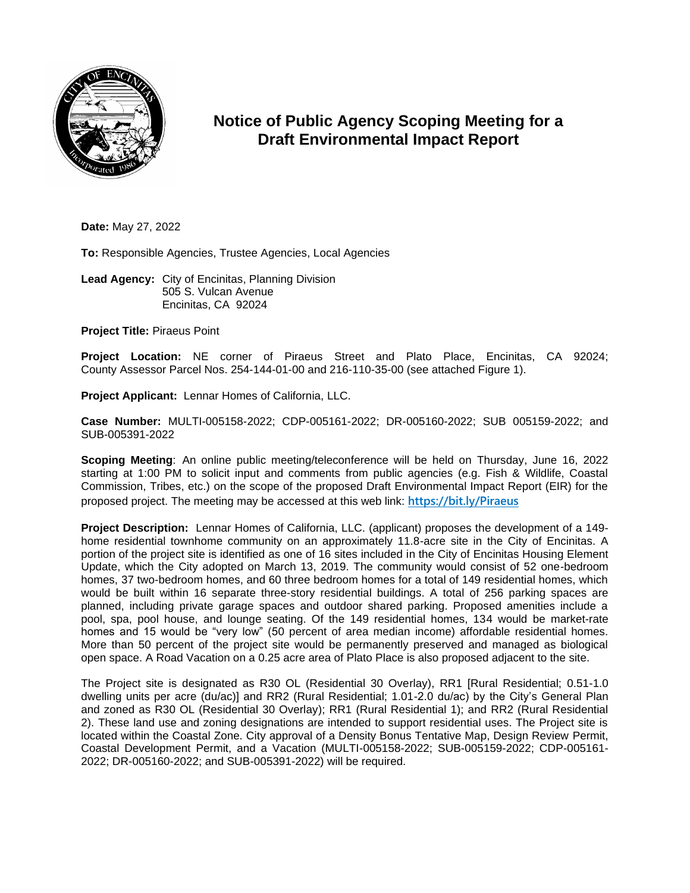

## **Notice of Public Agency Scoping Meeting for a Draft Environmental Impact Report**

**Date:** May 27, 2022

**To:** Responsible Agencies, Trustee Agencies, Local Agencies

**Lead Agency:** City of Encinitas, Planning Division 505 S. Vulcan Avenue Encinitas, CA 92024

**Project Title:** Piraeus Point

**Project Location:** NE corner of Piraeus Street and Plato Place, Encinitas, CA 92024; County Assessor Parcel Nos. 254-144-01-00 and 216-110-35-00 (see attached Figure 1).

**Project Applicant:** Lennar Homes of California, LLC.

**Case Number:** MULTI-005158-2022; CDP-005161-2022; DR-005160-2022; SUB 005159-2022; and SUB-005391-2022

**Scoping Meeting**: An online public meeting/teleconference will be held on Thursday, June 16, 2022 starting at 1:00 PM to solicit input and comments from public agencies (e.g. Fish & Wildlife, Coastal Commission, Tribes, etc.) on the scope of the proposed Draft Environmental Impact Report (EIR) for the proposed project. The meeting may be accessed at this web link: **[https://bit.ly/Piraeus](https://teams.microsoft.com/l/meetup-join/19%3ameeting_OGIwNmE2NTktNmMwNi00YjlkLWJkYjYtM2I0NjQwOWQxODg5%40thread.v2/0?context=%7b%22Tid%22%3a%2202e4bafd-4e1d-45b3-92b6-db6192e8b8b6%22%2c%22Oid%22%3a%227b847f6a-d67b-4648-a28b-21e4287a87b6%22%7d)**

**Project Description:** Lennar Homes of California, LLC. (applicant) proposes the development of a 149 home residential townhome community on an approximately 11.8-acre site in the City of Encinitas. A portion of the project site is identified as one of 16 sites included in the City of Encinitas Housing Element Update, which the City adopted on March 13, 2019. The community would consist of 52 one-bedroom homes, 37 two-bedroom homes, and 60 three bedroom homes for a total of 149 residential homes, which would be built within 16 separate three-story residential buildings. A total of 256 parking spaces are planned, including private garage spaces and outdoor shared parking. Proposed amenities include a pool, spa, pool house, and lounge seating. Of the 149 residential homes, 134 would be market-rate homes and 15 would be "very low" (50 percent of area median income) affordable residential homes. More than 50 percent of the project site would be permanently preserved and managed as biological open space. A Road Vacation on a 0.25 acre area of Plato Place is also proposed adjacent to the site.

The Project site is designated as R30 OL (Residential 30 Overlay), RR1 [Rural Residential; 0.51-1.0 dwelling units per acre (du/ac)] and RR2 (Rural Residential; 1.01-2.0 du/ac) by the City's General Plan and zoned as R30 OL (Residential 30 Overlay); RR1 (Rural Residential 1); and RR2 (Rural Residential 2). These land use and zoning designations are intended to support residential uses. The Project site is located within the Coastal Zone. City approval of a Density Bonus Tentative Map, Design Review Permit, Coastal Development Permit, and a Vacation (MULTI-005158-2022; SUB-005159-2022; CDP-005161- 2022; DR-005160-2022; and SUB-005391-2022) will be required.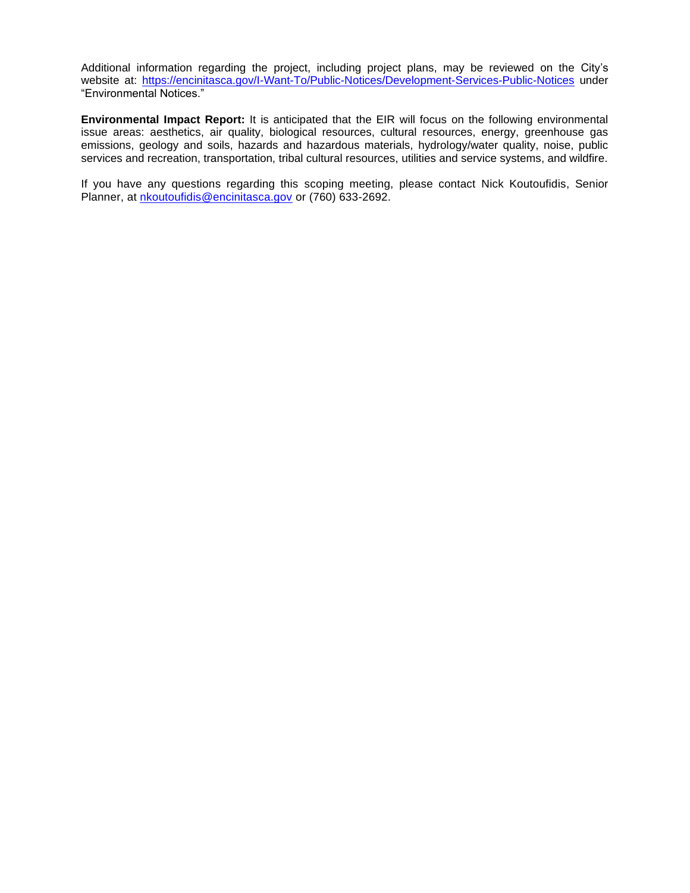Additional information regarding the project, including project plans, may be reviewed on the City's website at:<https://encinitasca.gov/I-Want-To/Public-Notices/Development-Services-Public-Notices> under "Environmental Notices."

**Environmental Impact Report:** It is anticipated that the EIR will focus on the following environmental issue areas: aesthetics, air quality, biological resources, cultural resources, energy, greenhouse gas emissions, geology and soils, hazards and hazardous materials, hydrology/water quality, noise, public services and recreation, transportation, tribal cultural resources, utilities and service systems, and wildfire.

If you have any questions regarding this scoping meeting, please contact Nick Koutoufidis, Senior Planner, at *[nkoutoufidis@encinitasca.gov](mailto:nkoutoufidis@encinitasca.gov)* or (760) 633-2692.